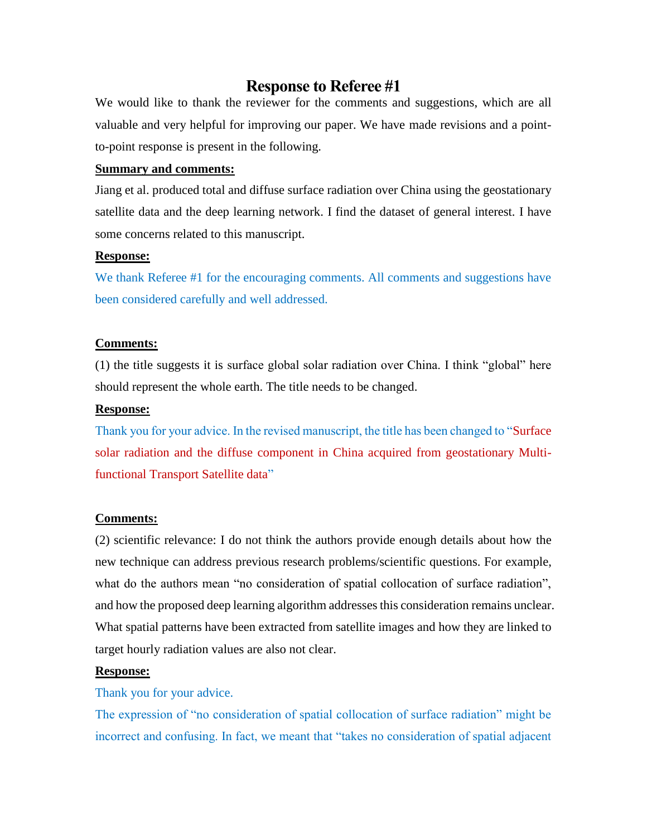# **Response to Referee #1**

We would like to thank the reviewer for the comments and suggestions, which are all valuable and very helpful for improving our paper. We have made revisions and a pointto-point response is present in the following.

# **Summary and comments:**

Jiang et al. produced total and diffuse surface radiation over China using the geostationary satellite data and the deep learning network. I find the dataset of general interest. I have some concerns related to this manuscript.

## **Response:**

We thank Referee #1 for the encouraging comments. All comments and suggestions have been considered carefully and well addressed.

# **Comments:**

(1) the title suggests it is surface global solar radiation over China. I think "global" here should represent the whole earth. The title needs to be changed.

## **Response:**

Thank you for your advice. In the revised manuscript, the title has been changed to "Surface solar radiation and the diffuse component in China acquired from geostationary Multifunctional Transport Satellite data"

# **Comments:**

(2) scientific relevance: I do not think the authors provide enough details about how the new technique can address previous research problems/scientific questions. For example, what do the authors mean "no consideration of spatial collocation of surface radiation", and how the proposed deep learning algorithm addresses this consideration remains unclear. What spatial patterns have been extracted from satellite images and how they are linked to target hourly radiation values are also not clear.

# **Response:**

# Thank you for your advice.

The expression of "no consideration of spatial collocation of surface radiation" might be incorrect and confusing. In fact, we meant that "takes no consideration of spatial adjacent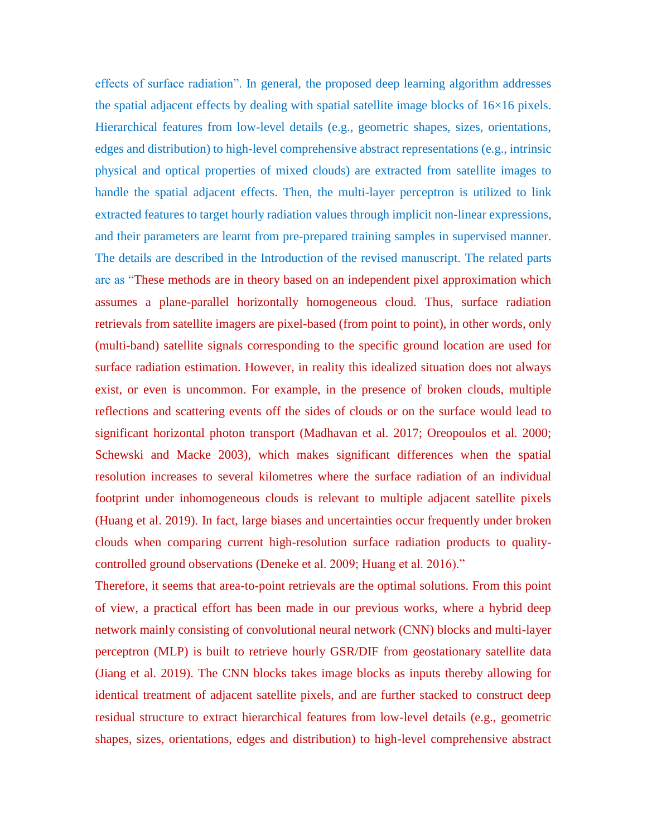effects of surface radiation". In general, the proposed deep learning algorithm addresses the spatial adjacent effects by dealing with spatial satellite image blocks of  $16\times16$  pixels. Hierarchical features from low-level details (e.g., geometric shapes, sizes, orientations, edges and distribution) to high-level comprehensive abstract representations (e.g., intrinsic physical and optical properties of mixed clouds) are extracted from satellite images to handle the spatial adjacent effects. Then, the multi-layer perceptron is utilized to link extracted features to target hourly radiation values through implicit non-linear expressions, and their parameters are learnt from pre-prepared training samples in supervised manner. The details are described in the Introduction of the revised manuscript. The related parts are as "These methods are in theory based on an independent pixel approximation which assumes a plane-parallel horizontally homogeneous cloud. Thus, surface radiation retrievals from satellite imagers are pixel-based (from point to point), in other words, only (multi-band) satellite signals corresponding to the specific ground location are used for surface radiation estimation. However, in reality this idealized situation does not always exist, or even is uncommon. For example, in the presence of broken clouds, multiple reflections and scattering events off the sides of clouds or on the surface would lead to significant horizontal photon transport (Madhavan et al. 2017; Oreopoulos et al. 2000; Schewski and Macke 2003), which makes significant differences when the spatial resolution increases to several kilometres where the surface radiation of an individual footprint under inhomogeneous clouds is relevant to multiple adjacent satellite pixels (Huang et al. 2019). In fact, large biases and uncertainties occur frequently under broken clouds when comparing current high-resolution surface radiation products to qualitycontrolled ground observations (Deneke et al. 2009; Huang et al. 2016)."

Therefore, it seems that area-to-point retrievals are the optimal solutions. From this point of view, a practical effort has been made in our previous works, where a hybrid deep network mainly consisting of convolutional neural network (CNN) blocks and multi-layer perceptron (MLP) is built to retrieve hourly GSR/DIF from geostationary satellite data (Jiang et al. 2019). The CNN blocks takes image blocks as inputs thereby allowing for identical treatment of adjacent satellite pixels, and are further stacked to construct deep residual structure to extract hierarchical features from low-level details (e.g., geometric shapes, sizes, orientations, edges and distribution) to high-level comprehensive abstract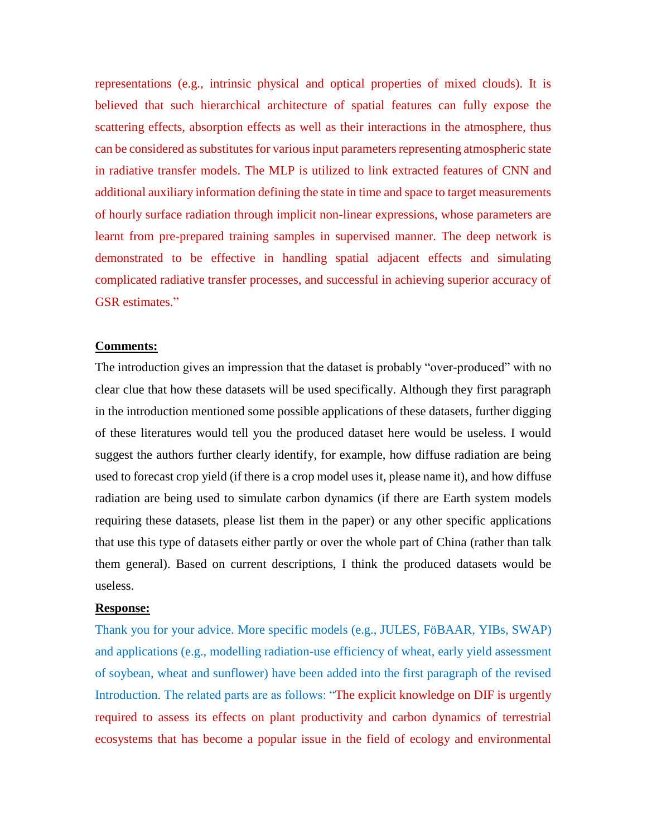representations (e.g., intrinsic physical and optical properties of mixed clouds). It is believed that such hierarchical architecture of spatial features can fully expose the scattering effects, absorption effects as well as their interactions in the atmosphere, thus can be considered as substitutes for various input parameters representing atmospheric state in radiative transfer models. The MLP is utilized to link extracted features of CNN and additional auxiliary information defining the state in time and space to target measurements of hourly surface radiation through implicit non-linear expressions, whose parameters are learnt from pre-prepared training samples in supervised manner. The deep network is demonstrated to be effective in handling spatial adjacent effects and simulating complicated radiative transfer processes, and successful in achieving superior accuracy of GSR estimates."

#### **Comments:**

The introduction gives an impression that the dataset is probably "over-produced" with no clear clue that how these datasets will be used specifically. Although they first paragraph in the introduction mentioned some possible applications of these datasets, further digging of these literatures would tell you the produced dataset here would be useless. I would suggest the authors further clearly identify, for example, how diffuse radiation are being used to forecast crop yield (if there is a crop model uses it, please name it), and how diffuse radiation are being used to simulate carbon dynamics (if there are Earth system models requiring these datasets, please list them in the paper) or any other specific applications that use this type of datasets either partly or over the whole part of China (rather than talk them general). Based on current descriptions, I think the produced datasets would be useless.

#### **Response:**

Thank you for your advice. More specific models (e.g., JULES, FöBAAR, YIBs, SWAP) and applications (e.g., modelling radiation-use efficiency of wheat, early yield assessment of soybean, wheat and sunflower) have been added into the first paragraph of the revised Introduction. The related parts are as follows: "The explicit knowledge on DIF is urgently required to assess its effects on plant productivity and carbon dynamics of terrestrial ecosystems that has become a popular issue in the field of ecology and environmental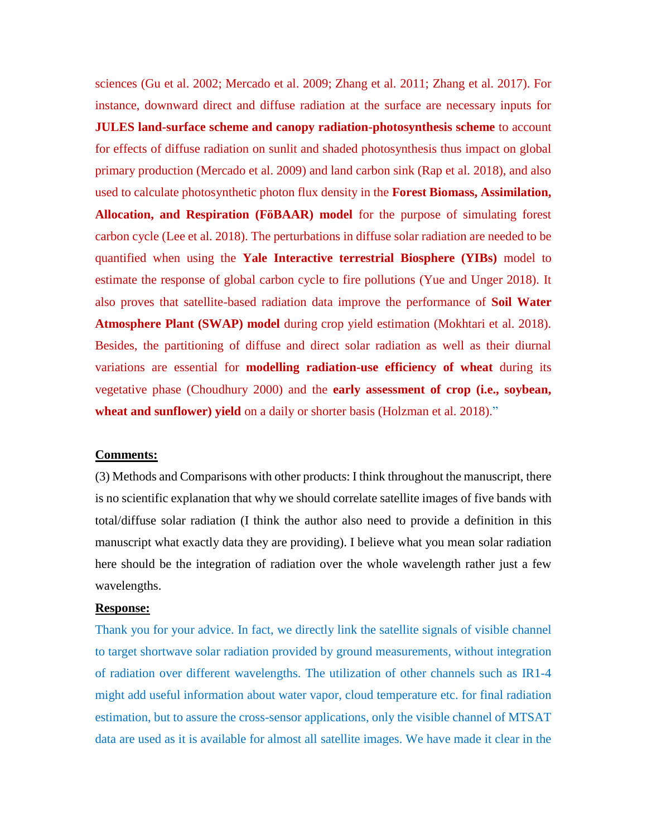sciences (Gu et al. 2002; Mercado et al. 2009; Zhang et al. 2011; Zhang et al. 2017). For instance, downward direct and diffuse radiation at the surface are necessary inputs for **JULES land-surface scheme and canopy radiation-photosynthesis scheme** to account for effects of diffuse radiation on sunlit and shaded photosynthesis thus impact on global primary production (Mercado et al. 2009) and land carbon sink (Rap et al. 2018), and also used to calculate photosynthetic photon flux density in the **Forest Biomass, Assimilation, Allocation, and Respiration (FöBAAR) model** for the purpose of simulating forest carbon cycle (Lee et al. 2018). The perturbations in diffuse solar radiation are needed to be quantified when using the **Yale Interactive terrestrial Biosphere (YIBs)** model to estimate the response of global carbon cycle to fire pollutions (Yue and Unger 2018). It also proves that satellite-based radiation data improve the performance of **Soil Water Atmosphere Plant (SWAP) model** during crop yield estimation (Mokhtari et al. 2018). Besides, the partitioning of diffuse and direct solar radiation as well as their diurnal variations are essential for **modelling radiation-use efficiency of wheat** during its vegetative phase (Choudhury 2000) and the **early assessment of crop (i.e., soybean, wheat and sunflower) yield** on a daily or shorter basis (Holzman et al. 2018)."

## **Comments:**

(3) Methods and Comparisons with other products: I think throughout the manuscript, there is no scientific explanation that why we should correlate satellite images of five bands with total/diffuse solar radiation (I think the author also need to provide a definition in this manuscript what exactly data they are providing). I believe what you mean solar radiation here should be the integration of radiation over the whole wavelength rather just a few wavelengths.

#### **Response:**

Thank you for your advice. In fact, we directly link the satellite signals of visible channel to target shortwave solar radiation provided by ground measurements, without integration of radiation over different wavelengths. The utilization of other channels such as IR1-4 might add useful information about water vapor, cloud temperature etc. for final radiation estimation, but to assure the cross-sensor applications, only the visible channel of MTSAT data are used as it is available for almost all satellite images. We have made it clear in the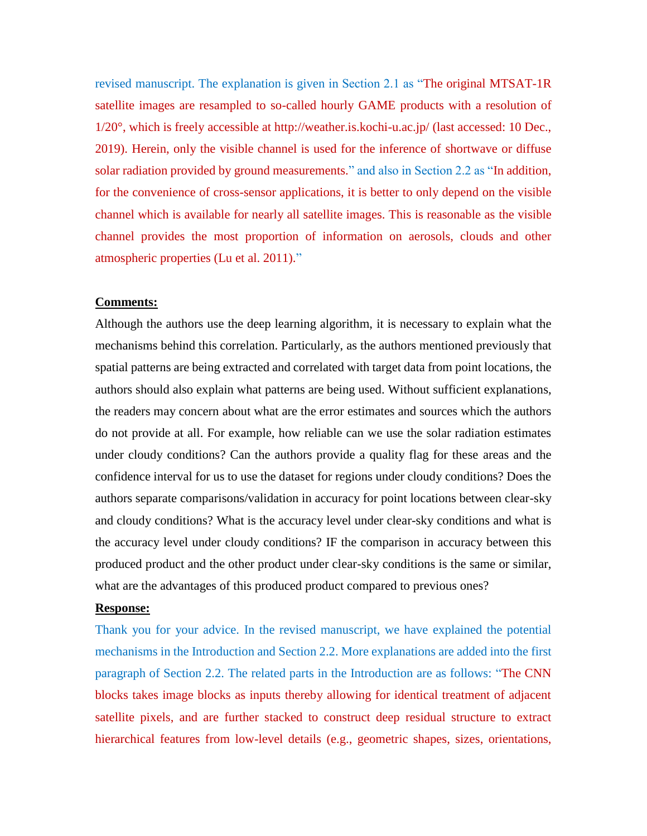revised manuscript. The explanation is given in Section 2.1 as "The original MTSAT-1R satellite images are resampled to so-called hourly GAME products with a resolution of 1/20°, which is freely accessible at http://weather.is.kochi-u.ac.jp/ (last accessed: 10 Dec., 2019). Herein, only the visible channel is used for the inference of shortwave or diffuse solar radiation provided by ground measurements." and also in Section 2.2 as "In addition, for the convenience of cross-sensor applications, it is better to only depend on the visible channel which is available for nearly all satellite images. This is reasonable as the visible channel provides the most proportion of information on aerosols, clouds and other atmospheric properties (Lu et al. 2011)."

## **Comments:**

Although the authors use the deep learning algorithm, it is necessary to explain what the mechanisms behind this correlation. Particularly, as the authors mentioned previously that spatial patterns are being extracted and correlated with target data from point locations, the authors should also explain what patterns are being used. Without sufficient explanations, the readers may concern about what are the error estimates and sources which the authors do not provide at all. For example, how reliable can we use the solar radiation estimates under cloudy conditions? Can the authors provide a quality flag for these areas and the confidence interval for us to use the dataset for regions under cloudy conditions? Does the authors separate comparisons/validation in accuracy for point locations between clear-sky and cloudy conditions? What is the accuracy level under clear-sky conditions and what is the accuracy level under cloudy conditions? IF the comparison in accuracy between this produced product and the other product under clear-sky conditions is the same or similar, what are the advantages of this produced product compared to previous ones?

#### **Response:**

Thank you for your advice. In the revised manuscript, we have explained the potential mechanisms in the Introduction and Section 2.2. More explanations are added into the first paragraph of Section 2.2. The related parts in the Introduction are as follows: "The CNN blocks takes image blocks as inputs thereby allowing for identical treatment of adjacent satellite pixels, and are further stacked to construct deep residual structure to extract hierarchical features from low-level details (e.g., geometric shapes, sizes, orientations,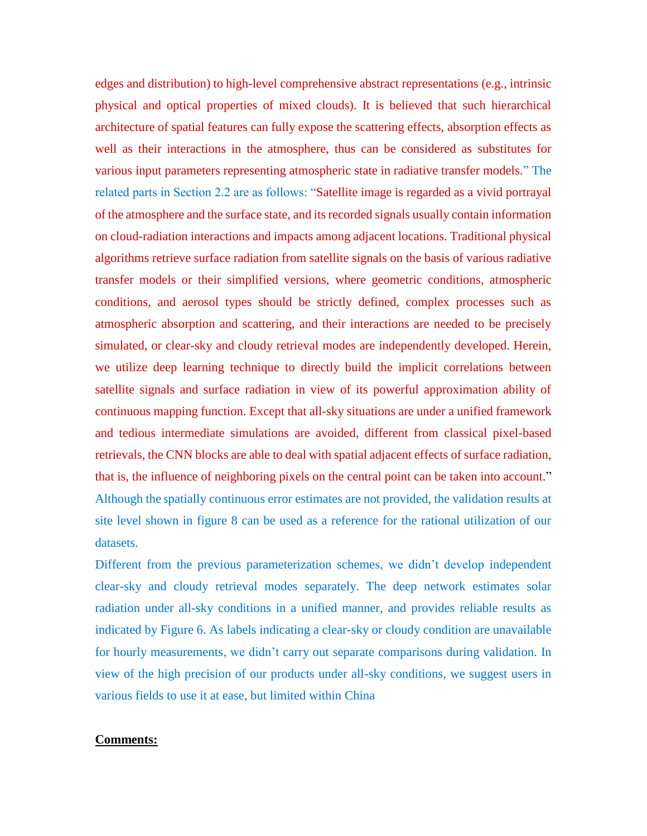edges and distribution) to high-level comprehensive abstract representations (e.g., intrinsic physical and optical properties of mixed clouds). It is believed that such hierarchical architecture of spatial features can fully expose the scattering effects, absorption effects as well as their interactions in the atmosphere, thus can be considered as substitutes for various input parameters representing atmospheric state in radiative transfer models." The related parts in Section 2.2 are as follows: "Satellite image is regarded as a vivid portrayal of the atmosphere and the surface state, and its recorded signals usually contain information on cloud-radiation interactions and impacts among adjacent locations. Traditional physical algorithms retrieve surface radiation from satellite signals on the basis of various radiative transfer models or their simplified versions, where geometric conditions, atmospheric conditions, and aerosol types should be strictly defined, complex processes such as atmospheric absorption and scattering, and their interactions are needed to be precisely simulated, or clear-sky and cloudy retrieval modes are independently developed. Herein, we utilize deep learning technique to directly build the implicit correlations between satellite signals and surface radiation in view of its powerful approximation ability of continuous mapping function. Except that all-sky situations are under a unified framework and tedious intermediate simulations are avoided, different from classical pixel-based retrievals, the CNN blocks are able to deal with spatial adjacent effects of surface radiation, that is, the influence of neighboring pixels on the central point can be taken into account." Although the spatially continuous error estimates are not provided, the validation results at site level shown in figure 8 can be used as a reference for the rational utilization of our datasets.

Different from the previous parameterization schemes, we didn't develop independent clear-sky and cloudy retrieval modes separately. The deep network estimates solar radiation under all-sky conditions in a unified manner, and provides reliable results as indicated by Figure 6. As labels indicating a clear-sky or cloudy condition are unavailable for hourly measurements, we didn't carry out separate comparisons during validation. In view of the high precision of our products under all-sky conditions, we suggest users in various fields to use it at ease, but limited within China

## **Comments:**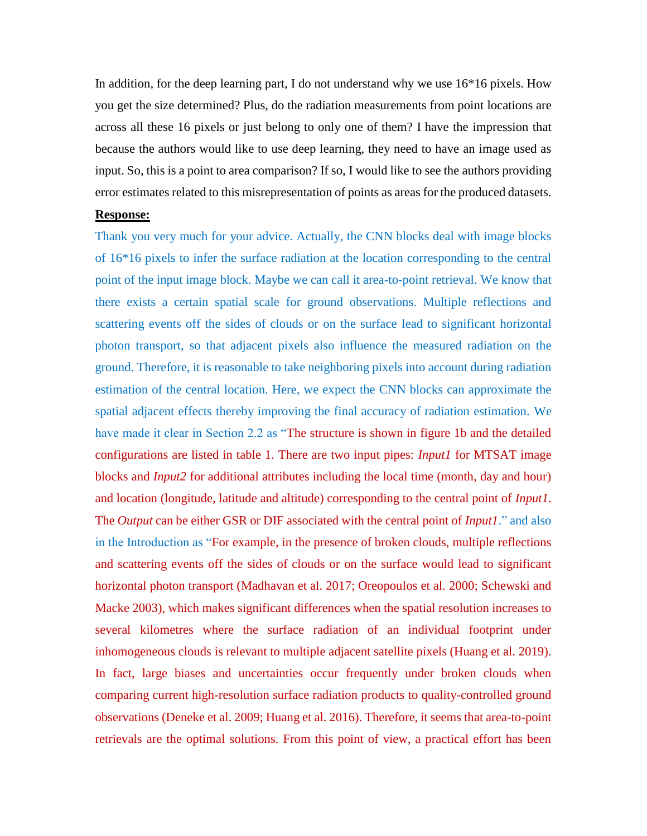In addition, for the deep learning part, I do not understand why we use 16\*16 pixels. How you get the size determined? Plus, do the radiation measurements from point locations are across all these 16 pixels or just belong to only one of them? I have the impression that because the authors would like to use deep learning, they need to have an image used as input. So, this is a point to area comparison? If so, I would like to see the authors providing error estimates related to this misrepresentation of points as areas for the produced datasets.

## **Response:**

Thank you very much for your advice. Actually, the CNN blocks deal with image blocks of 16\*16 pixels to infer the surface radiation at the location corresponding to the central point of the input image block. Maybe we can call it area-to-point retrieval. We know that there exists a certain spatial scale for ground observations. Multiple reflections and scattering events off the sides of clouds or on the surface lead to significant horizontal photon transport, so that adjacent pixels also influence the measured radiation on the ground. Therefore, it is reasonable to take neighboring pixels into account during radiation estimation of the central location. Here, we expect the CNN blocks can approximate the spatial adjacent effects thereby improving the final accuracy of radiation estimation. We have made it clear in Section 2.2 as "The structure is shown in figure 1b and the detailed configurations are listed in table 1. There are two input pipes: *Input1* for MTSAT image blocks and *Input2* for additional attributes including the local time (month, day and hour) and location (longitude, latitude and altitude) corresponding to the central point of *Input1*. The *Output* can be either GSR or DIF associated with the central point of *Input1*." and also in the Introduction as "For example, in the presence of broken clouds, multiple reflections and scattering events off the sides of clouds or on the surface would lead to significant horizontal photon transport (Madhavan et al. 2017; Oreopoulos et al. 2000; Schewski and Macke 2003), which makes significant differences when the spatial resolution increases to several kilometres where the surface radiation of an individual footprint under inhomogeneous clouds is relevant to multiple adjacent satellite pixels (Huang et al. 2019). In fact, large biases and uncertainties occur frequently under broken clouds when comparing current high-resolution surface radiation products to quality-controlled ground observations (Deneke et al. 2009; Huang et al. 2016). Therefore, it seems that area-to-point retrievals are the optimal solutions. From this point of view, a practical effort has been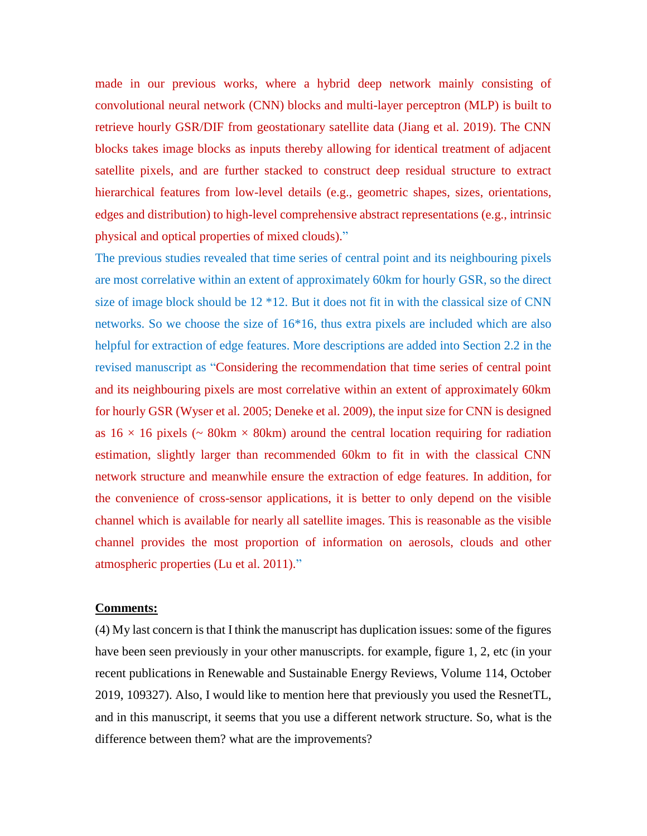made in our previous works, where a hybrid deep network mainly consisting of convolutional neural network (CNN) blocks and multi-layer perceptron (MLP) is built to retrieve hourly GSR/DIF from geostationary satellite data (Jiang et al. 2019). The CNN blocks takes image blocks as inputs thereby allowing for identical treatment of adjacent satellite pixels, and are further stacked to construct deep residual structure to extract hierarchical features from low-level details (e.g., geometric shapes, sizes, orientations, edges and distribution) to high-level comprehensive abstract representations (e.g., intrinsic physical and optical properties of mixed clouds)."

The previous studies revealed that time series of central point and its neighbouring pixels are most correlative within an extent of approximately 60km for hourly GSR, so the direct size of image block should be 12 \*12. But it does not fit in with the classical size of CNN networks. So we choose the size of 16\*16, thus extra pixels are included which are also helpful for extraction of edge features. More descriptions are added into Section 2.2 in the revised manuscript as "Considering the recommendation that time series of central point and its neighbouring pixels are most correlative within an extent of approximately 60km for hourly GSR (Wyser et al. 2005; Deneke et al. 2009), the input size for CNN is designed as  $16 \times 16$  pixels (~ 80km  $\times$  80km) around the central location requiring for radiation estimation, slightly larger than recommended 60km to fit in with the classical CNN network structure and meanwhile ensure the extraction of edge features. In addition, for the convenience of cross-sensor applications, it is better to only depend on the visible channel which is available for nearly all satellite images. This is reasonable as the visible channel provides the most proportion of information on aerosols, clouds and other atmospheric properties (Lu et al. 2011)."

#### **Comments:**

(4) My last concern is that I think the manuscript has duplication issues: some of the figures have been seen previously in your other manuscripts. for example, figure 1, 2, etc (in your recent publications in Renewable and Sustainable Energy Reviews, Volume 114, October 2019, 109327). Also, I would like to mention here that previously you used the ResnetTL, and in this manuscript, it seems that you use a different network structure. So, what is the difference between them? what are the improvements?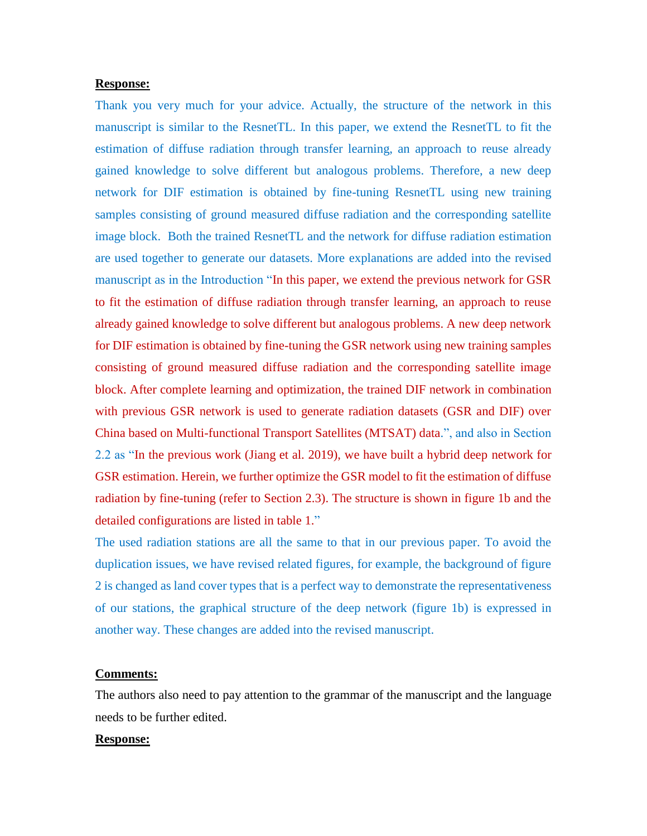#### **Response:**

Thank you very much for your advice. Actually, the structure of the network in this manuscript is similar to the ResnetTL. In this paper, we extend the ResnetTL to fit the estimation of diffuse radiation through transfer learning, an approach to reuse already gained knowledge to solve different but analogous problems. Therefore, a new deep network for DIF estimation is obtained by fine-tuning ResnetTL using new training samples consisting of ground measured diffuse radiation and the corresponding satellite image block. Both the trained ResnetTL and the network for diffuse radiation estimation are used together to generate our datasets. More explanations are added into the revised manuscript as in the Introduction "In this paper, we extend the previous network for GSR to fit the estimation of diffuse radiation through transfer learning, an approach to reuse already gained knowledge to solve different but analogous problems. A new deep network for DIF estimation is obtained by fine-tuning the GSR network using new training samples consisting of ground measured diffuse radiation and the corresponding satellite image block. After complete learning and optimization, the trained DIF network in combination with previous GSR network is used to generate radiation datasets (GSR and DIF) over China based on Multi-functional Transport Satellites (MTSAT) data.", and also in Section 2.2 as "In the previous work (Jiang et al. 2019), we have built a hybrid deep network for GSR estimation. Herein, we further optimize the GSR model to fit the estimation of diffuse radiation by fine-tuning (refer to Section 2.3). The structure is shown in figure 1b and the detailed configurations are listed in table 1."

The used radiation stations are all the same to that in our previous paper. To avoid the duplication issues, we have revised related figures, for example, the background of figure 2 is changed as land cover types that is a perfect way to demonstrate the representativeness of our stations, the graphical structure of the deep network (figure 1b) is expressed in another way. These changes are added into the revised manuscript.

## **Comments:**

The authors also need to pay attention to the grammar of the manuscript and the language needs to be further edited.

#### **Response:**